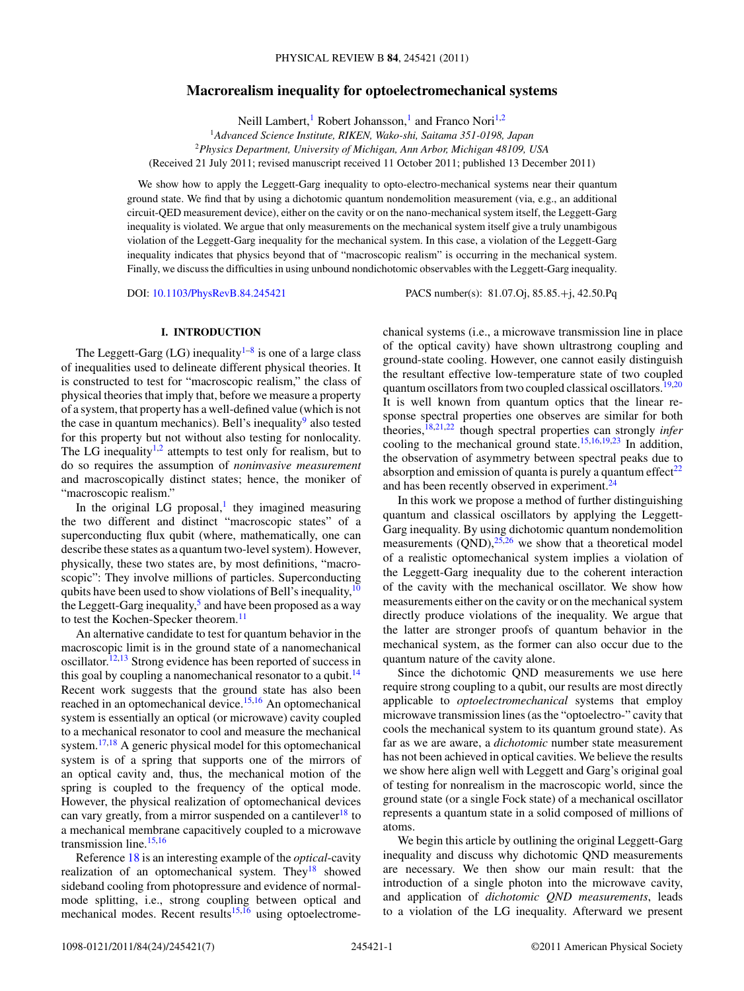## **Macrorealism inequality for optoelectromechanical systems**

Neill Lambert,<sup>1</sup> Robert Johansson,<sup>1</sup> and Franco Nori<sup>1,2</sup>

<sup>1</sup>*Advanced Science Institute, RIKEN, Wako-shi, Saitama 351-0198, Japan* <sup>2</sup>*Physics Department, University of Michigan, Ann Arbor, Michigan 48109, USA*

(Received 21 July 2011; revised manuscript received 11 October 2011; published 13 December 2011)

We show how to apply the Leggett-Garg inequality to opto-electro-mechanical systems near their quantum ground state. We find that by using a dichotomic quantum nondemolition measurement (via, e.g., an additional circuit-QED measurement device), either on the cavity or on the nano-mechanical system itself, the Leggett-Garg inequality is violated. We argue that only measurements on the mechanical system itself give a truly unambigous violation of the Leggett-Garg inequality for the mechanical system. In this case, a violation of the Leggett-Garg inequality indicates that physics beyond that of "macroscopic realism" is occurring in the mechanical system. Finally, we discuss the difficulties in using unbound nondichotomic observables with the Leggett-Garg inequality.

DOI: [10.1103/PhysRevB.84.245421](http://dx.doi.org/10.1103/PhysRevB.84.245421) PACS number(s): 81*.*07*.*Oj, 85*.*85*.*+j, 42*.*50*.*Pq

# **I. INTRODUCTION**

The Leggett-Garg (LG) inequality<sup>1–8</sup> is one of a large class of inequalities used to delineate different physical theories. It is constructed to test for "macroscopic realism," the class of physical theories that imply that, before we measure a property of a system, that property has a well-defined value (which is not the case in quantum mechanics). Bell's inequality $9$  also tested for this property but not without also testing for nonlocality. The LG inequality<sup>1,2</sup> attempts to test only for realism, but to do so requires the assumption of *noninvasive measurement* and macroscopically distinct states; hence, the moniker of "macroscopic realism."

In the original LG proposal, $\frac{1}{1}$  $\frac{1}{1}$  $\frac{1}{1}$  they imagined measuring the two different and distinct "macroscopic states" of a superconducting flux qubit (where, mathematically, one can describe these states as a quantum two-level system). However, physically, these two states are, by most definitions, "macroscopic": They involve millions of particles. Superconducting qubits have been used to show violations of Bell's inequality,  $10$ the Leggett-Garg inequality,<sup>5</sup> and have been proposed as a way to test the Kochen-Specker theorem.<sup>11</sup>

An alternative candidate to test for quantum behavior in the macroscopic limit is in the ground state of a nanomechanical oscillator.<sup>12,13</sup> Strong evidence has been reported of success in this goal by coupling a nanomechanical resonator to a qubit.<sup>14</sup> Recent work suggests that the ground state has also been reached in an optomechanical device.[15,16](#page-6-0) An optomechanical system is essentially an optical (or microwave) cavity coupled to a mechanical resonator to cool and measure the mechanical system.<sup>[17,18](#page-6-0)</sup> A generic physical model for this optomechanical system is of a spring that supports one of the mirrors of an optical cavity and, thus, the mechanical motion of the spring is coupled to the frequency of the optical mode. However, the physical realization of optomechanical devices can vary greatly, from a mirror suspended on a cantilever<sup>18</sup> to a mechanical membrane capacitively coupled to a microwave transmission line. $15,16$ 

Reference [18](#page-6-0) is an interesting example of the *optical*-cavity realization of an optomechanical system. They<sup>18</sup> showed sideband cooling from photopressure and evidence of normalmode splitting, i.e., strong coupling between optical and mechanical modes. Recent results $15,16$  using optoelectromechanical systems (i.e., a microwave transmission line in place of the optical cavity) have shown ultrastrong coupling and ground-state cooling. However, one cannot easily distinguish the resultant effective low-temperature state of two coupled quantum oscillators from two coupled classical oscillators.<sup>[19,20](#page-6-0)</sup> It is well known from quantum optics that the linear response spectral properties one observes are similar for both theories[,18,21,22](#page-6-0) though spectral properties can strongly *infer* cooling to the mechanical ground state.<sup>15,16,19,23</sup> In addition, the observation of asymmetry between spectral peaks due to absorption and emission of quanta is purely a quantum effect $^{22}$  $^{22}$  $^{22}$ and has been recently observed in experiment.<sup>24</sup>

In this work we propose a method of further distinguishing quantum and classical oscillators by applying the Leggett-Garg inequality. By using dichotomic quantum nondemolition measurements  $(OND)$ ,  $25,26$  we show that a theoretical model of a realistic optomechanical system implies a violation of the Leggett-Garg inequality due to the coherent interaction of the cavity with the mechanical oscillator. We show how measurements either on the cavity or on the mechanical system directly produce violations of the inequality. We argue that the latter are stronger proofs of quantum behavior in the mechanical system, as the former can also occur due to the quantum nature of the cavity alone.

Since the dichotomic QND measurements we use here require strong coupling to a qubit, our results are most directly applicable to *optoelectromechanical* systems that employ microwave transmission lines (as the "optoelectro-" cavity that cools the mechanical system to its quantum ground state). As far as we are aware, a *dichotomic* number state measurement has not been achieved in optical cavities. We believe the results we show here align well with Leggett and Garg's original goal of testing for nonrealism in the macroscopic world, since the ground state (or a single Fock state) of a mechanical oscillator represents a quantum state in a solid composed of millions of atoms.

We begin this article by outlining the original Leggett-Garg inequality and discuss why dichotomic QND measurements are necessary. We then show our main result: that the introduction of a single photon into the microwave cavity, and application of *dichotomic QND measurements*, leads to a violation of the LG inequality. Afterward we present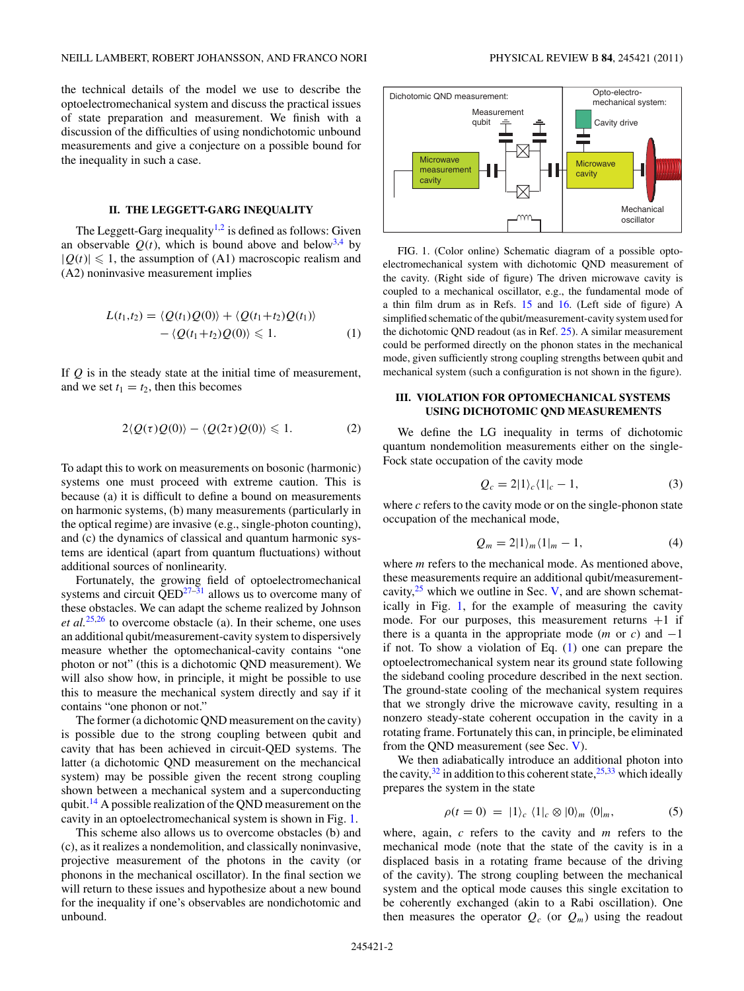<span id="page-1-0"></span>the technical details of the model we use to describe the optoelectromechanical system and discuss the practical issues of state preparation and measurement. We finish with a discussion of the difficulties of using nondichotomic unbound measurements and give a conjecture on a possible bound for the inequality in such a case.

## **II. THE LEGGETT-GARG INEQUALITY**

The Leggett-Garg inequality<sup>1,2</sup> is defined as follows: Given an observable  $Q(t)$ , which is bound above and below<sup>3,4</sup> by  $|Q(t)| \leq 1$ , the assumption of (A1) macroscopic realism and (A2) noninvasive measurement implies

$$
L(t_1,t_2) = \langle Q(t_1)Q(0)\rangle + \langle Q(t_1+t_2)Q(t_1)\rangle
$$
  
-
$$
\langle Q(t_1+t_2)Q(0)\rangle \leq 1.
$$
 (1)

If *Q* is in the steady state at the initial time of measurement, and we set  $t_1 = t_2$ , then this becomes

$$
2\langle Q(\tau)Q(0)\rangle - \langle Q(2\tau)Q(0)\rangle \leq 1. \tag{2}
$$

To adapt this to work on measurements on bosonic (harmonic) systems one must proceed with extreme caution. This is because (a) it is difficult to define a bound on measurements on harmonic systems, (b) many measurements (particularly in the optical regime) are invasive (e.g., single-photon counting), and (c) the dynamics of classical and quantum harmonic systems are identical (apart from quantum fluctuations) without additional sources of nonlinearity.

Fortunately, the growing field of optoelectromechanical systems and circuit  $\overline{QED^{27-31}}$  allows us to overcome many of these obstacles. We can adapt the scheme realized by Johnson *et al.*[25,26](#page-6-0) to overcome obstacle (a). In their scheme, one uses an additional qubit/measurement-cavity system to dispersively measure whether the optomechanical-cavity contains "one photon or not" (this is a dichotomic QND measurement). We will also show how, in principle, it might be possible to use this to measure the mechanical system directly and say if it contains "one phonon or not."

The former (a dichotomic QND measurement on the cavity) is possible due to the strong coupling between qubit and cavity that has been achieved in circuit-QED systems. The latter (a dichotomic QND measurement on the mechancical system) may be possible given the recent strong coupling shown between a mechanical system and a superconducting qubit[.14](#page-6-0) A possible realization of the QND measurement on the cavity in an optoelectromechanical system is shown in Fig. 1.

This scheme also allows us to overcome obstacles (b) and (c), as it realizes a nondemolition, and classically noninvasive, projective measurement of the photons in the cavity (or phonons in the mechanical oscillator). In the final section we will return to these issues and hypothesize about a new bound for the inequality if one's observables are nondichotomic and unbound.



FIG. 1. (Color online) Schematic diagram of a possible optoelectromechanical system with dichotomic QND measurement of the cavity. (Right side of figure) The driven microwave cavity is coupled to a mechanical oscillator, e.g., the fundamental mode of a thin film drum as in Refs. [15](#page-6-0) and [16.](#page-6-0) (Left side of figure) A simplified schematic of the qubit/measurement-cavity system used for the dichotomic QND readout (as in Ref. [25\)](#page-6-0). A similar measurement could be performed directly on the phonon states in the mechanical mode, given sufficiently strong coupling strengths between qubit and mechanical system (such a configuration is not shown in the figure).

## **III. VIOLATION FOR OPTOMECHANICAL SYSTEMS USING DICHOTOMIC QND MEASUREMENTS**

We define the LG inequality in terms of dichotomic quantum nondemolition measurements either on the single-Fock state occupation of the cavity mode

$$
Q_c = 2|1\rangle_c\langle 1|_c - 1,\tag{3}
$$

where *c* refers to the cavity mode or on the single-phonon state occupation of the mechanical mode,

$$
Q_m = 2|1\rangle_m\langle 1|_m - 1,\tag{4}
$$

where *m* refers to the mechanical mode. As mentioned above, these measurements require an additional qubit/measurementcavity, $2^5$  which we outline in Sec. [V,](#page-3-0) and are shown schematically in Fig. 1, for the example of measuring the cavity mode. For our purposes, this measurement returns  $+1$  if there is a quanta in the appropriate mode (*m* or *c*) and  $-1$ if not. To show a violation of Eq. (1) one can prepare the optoelectromechanical system near its ground state following the sideband cooling procedure described in the next section. The ground-state cooling of the mechanical system requires that we strongly drive the microwave cavity, resulting in a nonzero steady-state coherent occupation in the cavity in a rotating frame. Fortunately this can, in principle, be eliminated from the QND measurement (see Sec. [V\)](#page-3-0).

We then adiabatically introduce an additional photon into the cavity,  $32$  in addition to this coherent state,  $25,33$  which ideally prepares the system in the state

$$
\rho(t=0) = |1\rangle_c \langle 1|_c \otimes |0\rangle_m \langle 0|_m, \qquad (5)
$$

where, again, *c* refers to the cavity and *m* refers to the mechanical mode (note that the state of the cavity is in a displaced basis in a rotating frame because of the driving of the cavity). The strong coupling between the mechanical system and the optical mode causes this single excitation to be coherently exchanged (akin to a Rabi oscillation). One then measures the operator  $Q_c$  (or  $Q_m$ ) using the readout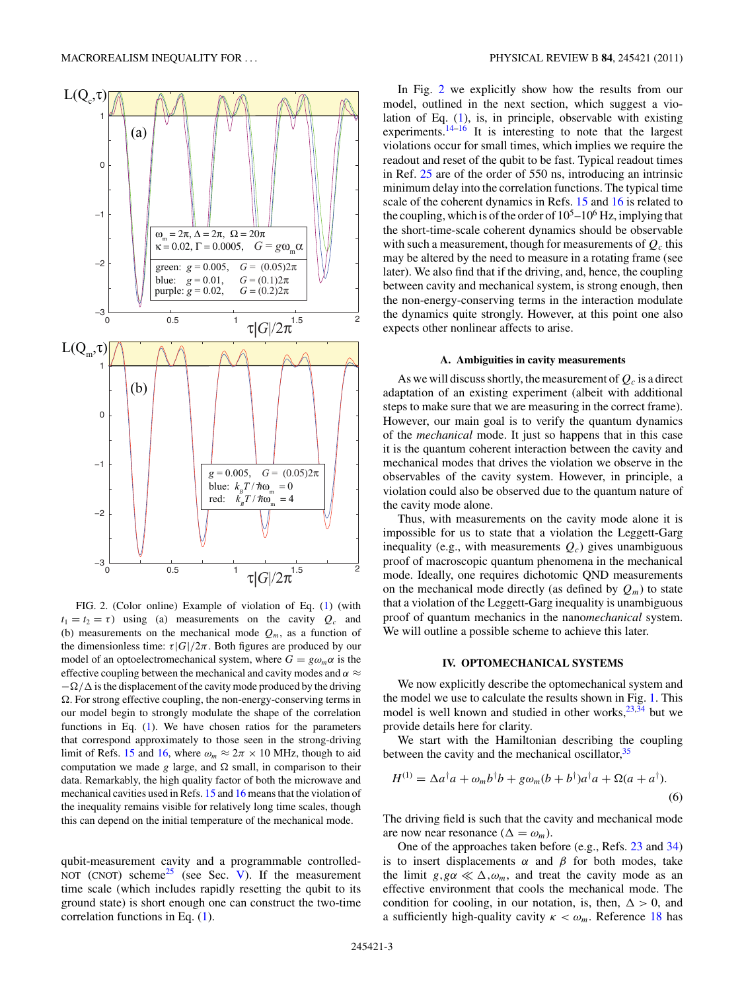<span id="page-2-0"></span>

FIG. 2. (Color online) Example of violation of Eq. [\(1\)](#page-1-0) (with  $t_1 = t_2 = \tau$ ) using (a) measurements on the cavity  $Q_c$  and (b) measurements on the mechanical mode  $Q_m$ , as a function of the dimensionless time:  $\tau |G|/2\pi$ . Both figures are produced by our model of an optoelectromechanical system, where  $G = g\omega_m\alpha$  is the effective coupling between the mechanical and cavity modes and  $\alpha \approx$  $-\Omega/\Delta$  is the displacement of the cavity mode produced by the driving  $\Omega$ . For strong effective coupling, the non-energy-conserving terms in our model begin to strongly modulate the shape of the correlation functions in Eq. [\(1\)](#page-1-0). We have chosen ratios for the parameters that correspond approximately to those seen in the strong-driving limit of Refs. [15](#page-6-0) and [16,](#page-6-0) where  $\omega_m \approx 2\pi \times 10$  MHz, though to aid computation we made  $g$  large, and  $\Omega$  small, in comparison to their data. Remarkably, the high quality factor of both the microwave and mechanical cavities used in Refs. [15](#page-6-0) and [16](#page-6-0) means that the violation of the inequality remains visible for relatively long time scales, though this can depend on the initial temperature of the mechanical mode.

qubit-measurement cavity and a programmable controlled-NOT (CNOT) scheme<sup>25</sup> (see Sec. [V\)](#page-3-0). If the measurement time scale (which includes rapidly resetting the qubit to its ground state) is short enough one can construct the two-time correlation functions in Eq. [\(1\)](#page-1-0).

In Fig. 2 we explicitly show how the results from our model, outlined in the next section, which suggest a violation of Eq. [\(1\)](#page-1-0), is, in principle, observable with existing experiments.<sup>[14–16](#page-6-0)</sup> It is interesting to note that the largest violations occur for small times, which implies we require the readout and reset of the qubit to be fast. Typical readout times in Ref. [25](#page-6-0) are of the order of 550 ns, introducing an intrinsic minimum delay into the correlation functions. The typical time scale of the coherent dynamics in Refs. [15](#page-6-0) and [16](#page-6-0) is related to the coupling, which is of the order of  $10^5$ – $10^6$  Hz, implying that the short-time-scale coherent dynamics should be observable with such a measurement, though for measurements of  $Q_c$  this may be altered by the need to measure in a rotating frame (see later). We also find that if the driving, and, hence, the coupling between cavity and mechanical system, is strong enough, then the non-energy-conserving terms in the interaction modulate the dynamics quite strongly. However, at this point one also expects other nonlinear affects to arise.

## **A. Ambiguities in cavity measurements**

As we will discuss shortly, the measurement of  $Q_c$  is a direct adaptation of an existing experiment (albeit with additional steps to make sure that we are measuring in the correct frame). However, our main goal is to verify the quantum dynamics of the *mechanical* mode. It just so happens that in this case it is the quantum coherent interaction between the cavity and mechanical modes that drives the violation we observe in the observables of the cavity system. However, in principle, a violation could also be observed due to the quantum nature of the cavity mode alone.

Thus, with measurements on the cavity mode alone it is impossible for us to state that a violation the Leggett-Garg inequality (e.g., with measurements  $Q_c$ ) gives unambiguous proof of macroscopic quantum phenomena in the mechanical mode. Ideally, one requires dichotomic QND measurements on the mechanical mode directly (as defined by  $Q_m$ ) to state that a violation of the Leggett-Garg inequality is unambiguous proof of quantum mechanics in the nano*mechanical* system. We will outline a possible scheme to achieve this later.

### **IV. OPTOMECHANICAL SYSTEMS**

We now explicitly describe the optomechanical system and the model we use to calculate the results shown in Fig. [1.](#page-1-0) This model is well known and studied in other works,  $23,34$  but we provide details here for clarity.

We start with the Hamiltonian describing the coupling between the cavity and the mechanical oscillator,  $35$ 

$$
H^{(1)} = \Delta a^{\dagger} a + \omega_m b^{\dagger} b + g \omega_m (b + b^{\dagger}) a^{\dagger} a + \Omega (a + a^{\dagger}).
$$
\n(6)

The driving field is such that the cavity and mechanical mode are now near resonance ( $\Delta = \omega_m$ ).

One of the approaches taken before (e.g., Refs. [23](#page-6-0) and [34\)](#page-6-0) is to insert displacements  $\alpha$  and  $\beta$  for both modes, take the limit  $g,g\alpha \ll \Delta,\omega_m$ , and treat the cavity mode as an effective environment that cools the mechanical mode. The condition for cooling, in our notation, is, then,  $\Delta > 0$ , and a sufficiently high-quality cavity  $\kappa < \omega_m$ . Reference [18](#page-6-0) has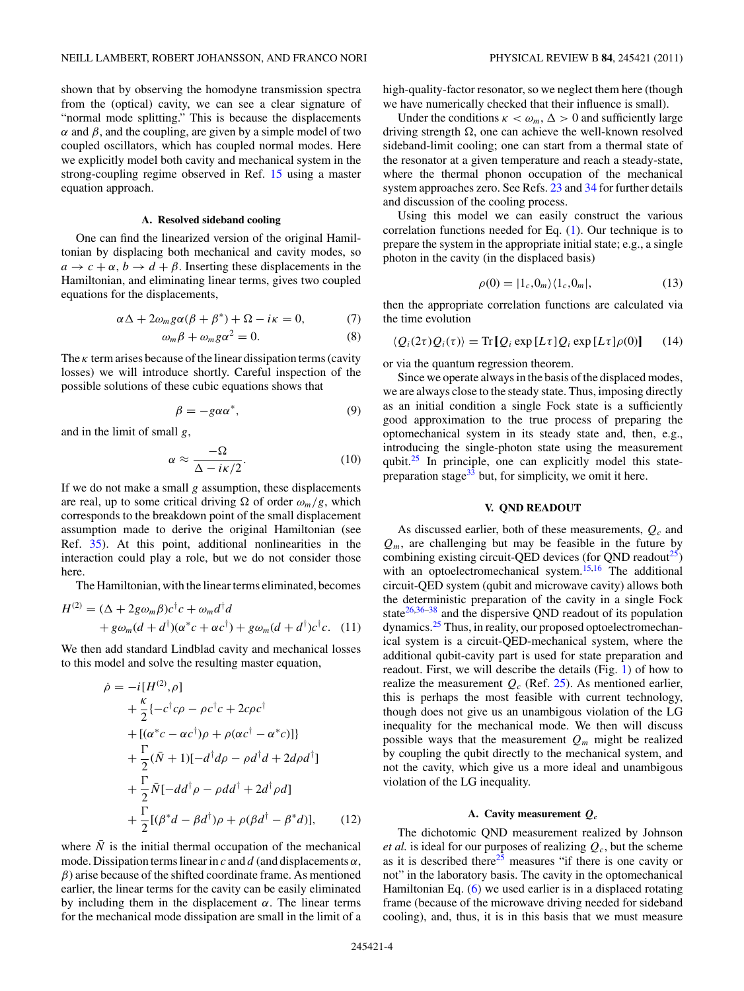<span id="page-3-0"></span>shown that by observing the homodyne transmission spectra from the (optical) cavity, we can see a clear signature of "normal mode splitting." This is because the displacements *α* and *β*, and the coupling, are given by a simple model of two coupled oscillators, which has coupled normal modes. Here we explicitly model both cavity and mechanical system in the strong-coupling regime observed in Ref. [15](#page-6-0) using a master equation approach.

### **A. Resolved sideband cooling**

One can find the linearized version of the original Hamiltonian by displacing both mechanical and cavity modes, so  $a \rightarrow c + \alpha$ ,  $b \rightarrow d + \beta$ . Inserting these displacements in the Hamiltonian, and eliminating linear terms, gives two coupled equations for the displacements,

$$
\alpha \Delta + 2\omega_m g \alpha (\beta + \beta^*) + \Omega - i\kappa = 0, \qquad (7)
$$

$$
\omega_m \beta + \omega_m g \alpha^2 = 0. \tag{8}
$$

The  $\kappa$  term arises because of the linear dissipation terms (cavity losses) we will introduce shortly. Careful inspection of the possible solutions of these cubic equations shows that

$$
\beta = -g\alpha\alpha^*,\tag{9}
$$

and in the limit of small *g*,

$$
\alpha \approx \frac{-\Omega}{\Delta - i\kappa/2}.\tag{10}
$$

If we do not make a small *g* assumption, these displacements are real, up to some critical driving  $\Omega$  of order  $\omega_m/g$ , which corresponds to the breakdown point of the small displacement assumption made to derive the original Hamiltonian (see Ref. [35\)](#page-6-0). At this point, additional nonlinearities in the interaction could play a role, but we do not consider those here.

The Hamiltonian, with the linear terms eliminated, becomes

$$
H^{(2)} = (\Delta + 2g\omega_m \beta)c^{\dagger} c + \omega_m d^{\dagger} d + g\omega_m (d + d^{\dagger})(\alpha^* c + \alpha c^{\dagger}) + g\omega_m (d + d^{\dagger})c^{\dagger} c.
$$
 (11)

We then add standard Lindblad cavity and mechanical losses to this model and solve the resulting master equation,

$$
\begin{split}\n\dot{\rho} &= -i[H^{(2)}, \rho] \\
&+ \frac{\kappa}{2} \{-c^{\dagger}c\rho - \rho c^{\dagger}c + 2c\rho c^{\dagger} \\
&+ [(\alpha^*c - \alpha c^{\dagger})\rho + \rho(\alpha c^{\dagger} - \alpha^*c)]\} \\
&+ \frac{\Gamma}{2}(\bar{N} + 1)[-d^{\dagger}d\rho - \rho d^{\dagger}d + 2d\rho d^{\dagger}] \\
&+ \frac{\Gamma}{2}\bar{N}[-dd^{\dagger}\rho - \rho dd^{\dagger} + 2d^{\dagger}\rho d] \\
&+ \frac{\Gamma}{2}[(\beta^*d - \beta d^{\dagger})\rho + \rho(\beta d^{\dagger} - \beta^*d)],\n\end{split} \tag{12}
$$

where  $\bar{N}$  is the initial thermal occupation of the mechanical mode. Dissipation terms linear in  $c$  and  $d$  (and displacements  $\alpha$ , *β*) arise because of the shifted coordinate frame. As mentioned earlier, the linear terms for the cavity can be easily eliminated by including them in the displacement  $\alpha$ . The linear terms for the mechanical mode dissipation are small in the limit of a high-quality-factor resonator, so we neglect them here (though we have numerically checked that their influence is small).

Under the conditions  $\kappa < \omega_m$ ,  $\Delta > 0$  and sufficiently large driving strength  $\Omega$ , one can achieve the well-known resolved sideband-limit cooling; one can start from a thermal state of the resonator at a given temperature and reach a steady-state, where the thermal phonon occupation of the mechanical system approaches zero. See Refs. [23](#page-6-0) and [34](#page-6-0) for further details and discussion of the cooling process.

Using this model we can easily construct the various correlation functions needed for Eq. [\(1\)](#page-1-0). Our technique is to prepare the system in the appropriate initial state; e.g., a single photon in the cavity (in the displaced basis)

$$
\rho(0) = |1_c, 0_m\rangle\langle 1_c, 0_m|,\tag{13}
$$

then the appropriate correlation functions are calculated via the time evolution

$$
\langle Q_i(2\tau)Q_i(\tau)\rangle = \text{Tr}\left[Q_i \exp\left[L\tau\right]Q_i \exp\left[L\tau\right]\rho(0)\right] \tag{14}
$$

or via the quantum regression theorem.

Since we operate always in the basis of the displaced modes, we are always close to the steady state. Thus, imposing directly as an initial condition a single Fock state is a sufficiently good approximation to the true process of preparing the optomechanical system in its steady state and, then, e.g., introducing the single-photon state using the measurement qubit. $25$  In principle, one can explicitly model this statepreparation stage $33$  but, for simplicity, we omit it here.

## **V. QND READOUT**

As discussed earlier, both of these measurements, *Qc* and  $Q_m$ , are challenging but may be feasible in the future by combining existing circuit-QED devices (for QND readout $^{25}$ ) with an optoelectromechanical system.<sup>[15,16](#page-6-0)</sup> The additional circuit-QED system (qubit and microwave cavity) allows both the deterministic preparation of the cavity in a single Fock state $26,36-38$  and the dispersive QND readout of its population dynamics.<sup>25</sup> Thus, in reality, our proposed optoelectromechanical system is a circuit-QED-mechanical system, where the additional qubit-cavity part is used for state preparation and readout. First, we will describe the details (Fig. [1\)](#page-1-0) of how to realize the measurement  $Q_c$  (Ref. [25\)](#page-6-0). As mentioned earlier, this is perhaps the most feasible with current technology, though does not give us an unambigous violation of the LG inequality for the mechanical mode. We then will discuss possible ways that the measurement  $Q_m$  might be realized by coupling the qubit directly to the mechanical system, and not the cavity, which give us a more ideal and unambigous violation of the LG inequality.

### **A. Cavity measurement** *Qc*

The dichotomic QND measurement realized by Johnson *et al.* is ideal for our purposes of realizing  $Q_c$ , but the scheme as it is described there<sup>25</sup> measures "if there is one cavity or not" in the laboratory basis. The cavity in the optomechanical Hamiltonian Eq. [\(6\)](#page-2-0) we used earlier is in a displaced rotating frame (because of the microwave driving needed for sideband cooling), and, thus, it is in this basis that we must measure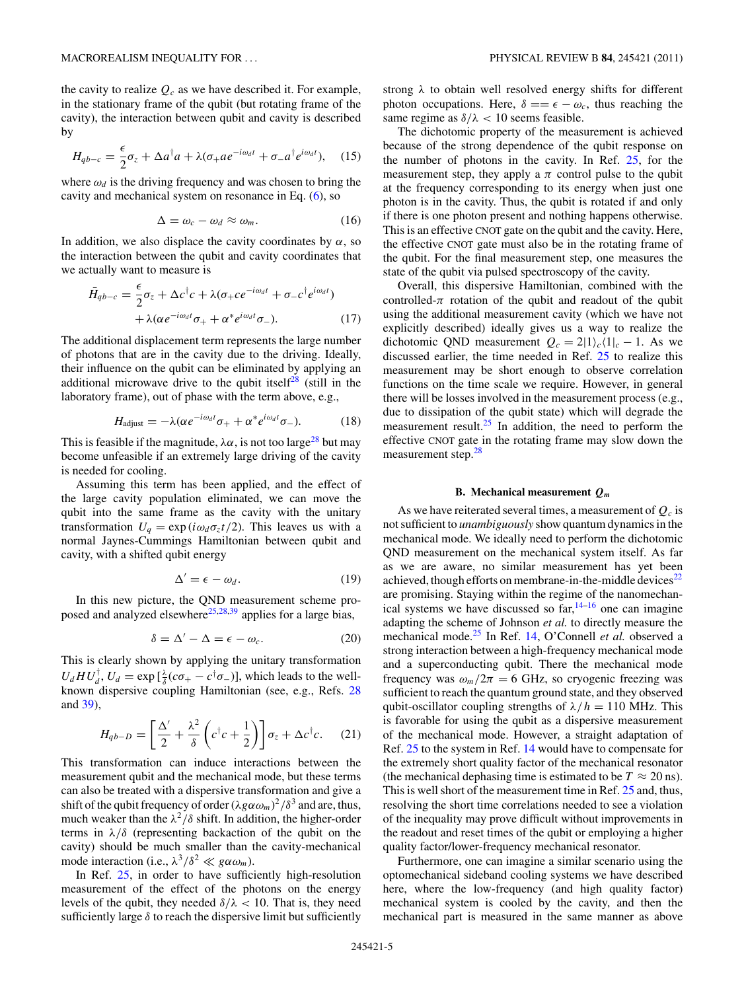the cavity to realize  $Q_c$  as we have described it. For example, in the stationary frame of the qubit (but rotating frame of the cavity), the interaction between qubit and cavity is described by

$$
H_{qb-c} = \frac{\epsilon}{2}\sigma_z + \Delta a^\dagger a + \lambda(\sigma_+ a e^{-i\omega_d t} + \sigma_- a^\dagger e^{i\omega_d t}), \quad (15)
$$

where  $\omega_d$  is the driving frequency and was chosen to bring the cavity and mechanical system on resonance in Eq. [\(6\)](#page-2-0), so

$$
\Delta = \omega_c - \omega_d \approx \omega_m. \tag{16}
$$

In addition, we also displace the cavity coordinates by  $\alpha$ , so the interaction between the qubit and cavity coordinates that we actually want to measure is

$$
\bar{H}_{qb-c} = \frac{\epsilon}{2}\sigma_z + \Delta c^{\dagger}c + \lambda(\sigma_+ c e^{-i\omega_d t} + \sigma_- c^{\dagger} e^{i\omega_d t})
$$

$$
+ \lambda(\alpha e^{-i\omega_d t}\sigma_+ + \alpha^* e^{i\omega_d t}\sigma_-). \tag{17}
$$

The additional displacement term represents the large number of photons that are in the cavity due to the driving. Ideally, their influence on the qubit can be eliminated by applying an additional microwave drive to the qubit itself<sup>[28](#page-6-0)</sup> (still in the laboratory frame), out of phase with the term above, e.g.,

$$
H_{\text{adjust}} = -\lambda(\alpha e^{-i\omega_d t}\sigma_+ + \alpha^* e^{i\omega_d t}\sigma_-). \tag{18}
$$

This is feasible if the magnitude,  $\lambda \alpha$ , is not too large<sup>28</sup> but may become unfeasible if an extremely large driving of the cavity is needed for cooling.

Assuming this term has been applied, and the effect of the large cavity population eliminated, we can move the qubit into the same frame as the cavity with the unitary transformation  $U_q = \exp(i\omega_d \sigma_z t/2)$ . This leaves us with a normal Jaynes-Cummings Hamiltonian between qubit and cavity, with a shifted qubit energy

$$
\Delta' = \epsilon - \omega_d. \tag{19}
$$

In this new picture, the QND measurement scheme proposed and analyzed elsewhere<sup>25,28,39</sup> applies for a large bias,

$$
\delta = \Delta' - \Delta = \epsilon - \omega_c. \tag{20}
$$

This is clearly shown by applying the unitary transformation  $U_d H U_d^{\dagger}$ ,  $U_d = \exp\left[\frac{\lambda}{\delta}(c\sigma_+ - c^{\dagger}\sigma_-)\right]$ , which leads to the wellknown dispersive coupling Hamiltonian (see, e.g., Refs. [28](#page-6-0) and [39\)](#page-6-0),

$$
H_{qb-D} = \left[\frac{\Delta'}{2} + \frac{\lambda^2}{\delta} \left(c^\dagger c + \frac{1}{2}\right)\right] \sigma_z + \Delta c^\dagger c. \tag{21}
$$

This transformation can induce interactions between the measurement qubit and the mechanical mode, but these terms can also be treated with a dispersive transformation and give a shift of the qubit frequency of order  $(\lambda g \alpha \omega_m)^2 / \delta^3$  and are, thus, much weaker than the  $\lambda^2/\delta$  shift. In addition, the higher-order terms in  $\lambda/\delta$  (representing backaction of the qubit on the cavity) should be much smaller than the cavity-mechanical mode interaction (i.e.,  $\lambda^3/\delta^2 \ll g \alpha \omega_m$ ).

In Ref. [25,](#page-6-0) in order to have sufficiently high-resolution measurement of the effect of the photons on the energy levels of the qubit, they needed  $\delta/\lambda$  < 10. That is, they need sufficiently large  $\delta$  to reach the dispersive limit but sufficiently strong *λ* to obtain well resolved energy shifts for different photon occupations. Here,  $\delta == \epsilon - \omega_c$ , thus reaching the same regime as  $\delta/\lambda < 10$  seems feasible.

The dichotomic property of the measurement is achieved because of the strong dependence of the qubit response on the number of photons in the cavity. In Ref. [25,](#page-6-0) for the measurement step, they apply a  $\pi$  control pulse to the qubit at the frequency corresponding to its energy when just one photon is in the cavity. Thus, the qubit is rotated if and only if there is one photon present and nothing happens otherwise. This is an effective CNOT gate on the qubit and the cavity. Here, the effective CNOT gate must also be in the rotating frame of the qubit. For the final measurement step, one measures the state of the qubit via pulsed spectroscopy of the cavity.

Overall, this dispersive Hamiltonian, combined with the controlled- $\pi$  rotation of the qubit and readout of the qubit using the additional measurement cavity (which we have not explicitly described) ideally gives us a way to realize the dichotomic QND measurement  $Q_c = 2|1\rangle_c\langle 1|_c - 1$ . As we discussed earlier, the time needed in Ref. [25](#page-6-0) to realize this measurement may be short enough to observe correlation functions on the time scale we require. However, in general there will be losses involved in the measurement process (e.g., due to dissipation of the qubit state) which will degrade the measurement result.<sup>25</sup> In addition, the need to perform the effective CNOT gate in the rotating frame may slow down the measurement step.<sup>[28](#page-6-0)</sup>

#### **B. Mechanical measurement** *Qm*

As we have reiterated several times, a measurement of  $Q_c$  is not sufficient to *unambiguously* show quantum dynamics in the mechanical mode. We ideally need to perform the dichotomic QND measurement on the mechanical system itself. As far as we are aware, no similar measurement has yet been achieved, though efforts on membrane-in-the-middle devices<sup> $22$ </sup> are promising. Staying within the regime of the nanomechanical systems we have discussed so far,  $14-16$  one can imagine adapting the scheme of Johnson *et al.* to directly measure the mechanical mode[.25](#page-6-0) In Ref. [14,](#page-6-0) O'Connell *et al.* observed a strong interaction between a high-frequency mechanical mode and a superconducting qubit. There the mechanical mode frequency was  $\omega_m/2\pi = 6$  GHz, so cryogenic freezing was sufficient to reach the quantum ground state, and they observed qubit-oscillator coupling strengths of  $\lambda/h = 110$  MHz. This is favorable for using the qubit as a dispersive measurement of the mechanical mode. However, a straight adaptation of Ref. [25](#page-6-0) to the system in Ref. [14](#page-6-0) would have to compensate for the extremely short quality factor of the mechanical resonator (the mechanical dephasing time is estimated to be  $T \approx 20$  ns). This is well short of the measurement time in Ref. [25](#page-6-0) and, thus, resolving the short time correlations needed to see a violation of the inequality may prove difficult without improvements in the readout and reset times of the qubit or employing a higher quality factor/lower-frequency mechanical resonator.

Furthermore, one can imagine a similar scenario using the optomechanical sideband cooling systems we have described here, where the low-frequency (and high quality factor) mechanical system is cooled by the cavity, and then the mechanical part is measured in the same manner as above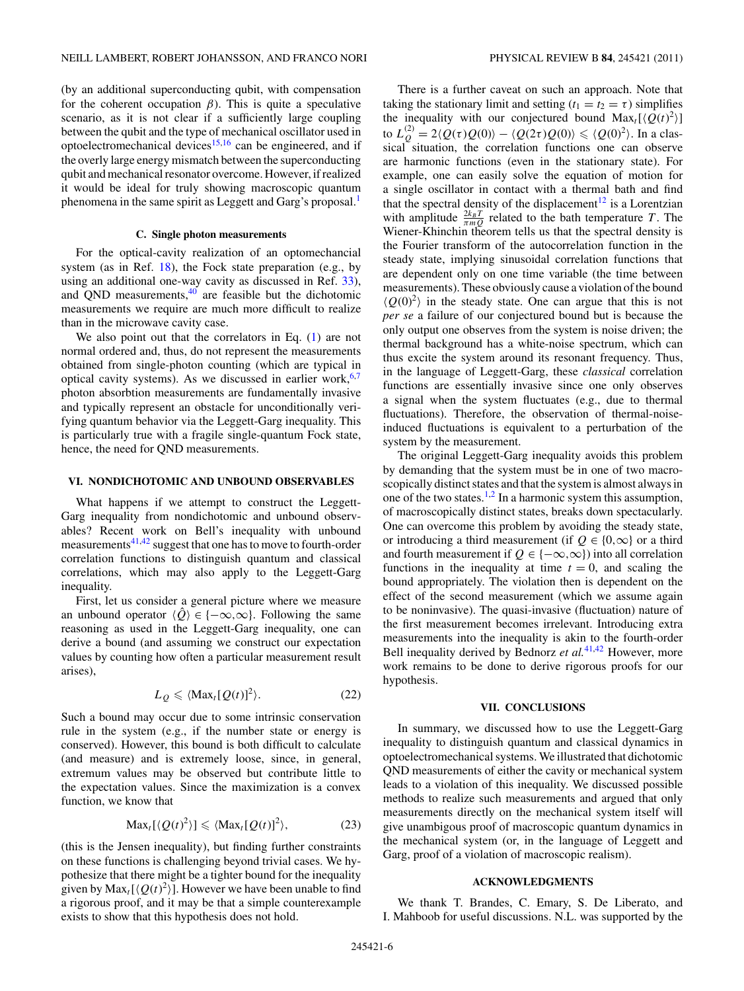(by an additional superconducting qubit, with compensation for the coherent occupation  $\beta$ ). This is quite a speculative scenario, as it is not clear if a sufficiently large coupling between the qubit and the type of mechanical oscillator used in optoelectromechanical devices $15,16$  can be engineered, and if the overly large energy mismatch between the superconducting qubit and mechanical resonator overcome. However, if realized it would be ideal for truly showing macroscopic quantum phenomena in the same spirit as Leggett and Garg's proposal.<sup>1</sup>

### **C. Single photon measurements**

For the optical-cavity realization of an optomechancial system (as in Ref.  $18$ ), the Fock state preparation (e.g., by using an additional one-way cavity as discussed in Ref. [33\)](#page-6-0), and QND measurements, $40$  are feasible but the dichotomic measurements we require are much more difficult to realize than in the microwave cavity case.

We also point out that the correlators in Eq.  $(1)$  are not normal ordered and, thus, do not represent the measurements obtained from single-photon counting (which are typical in optical cavity systems). As we discussed in earlier work,  $6,7$ photon absorbtion measurements are fundamentally invasive and typically represent an obstacle for unconditionally verifying quantum behavior via the Leggett-Garg inequality. This is particularly true with a fragile single-quantum Fock state, hence, the need for QND measurements.

#### **VI. NONDICHOTOMIC AND UNBOUND OBSERVABLES**

What happens if we attempt to construct the Leggett-Garg inequality from nondichotomic and unbound observables? Recent work on Bell's inequality with unbound measurements<sup>[41,42](#page-6-0)</sup> suggest that one has to move to fourth-order correlation functions to distinguish quantum and classical correlations, which may also apply to the Leggett-Garg inequality.

First, let us consider a general picture where we measure an unbound operator  $\langle \hat{Q} \rangle \in \{-\infty, \infty\}$ . Following the same reasoning as used in the Leggett-Garg inequality, one can derive a bound (and assuming we construct our expectation values by counting how often a particular measurement result arises),

$$
L_Q \leq \langle \text{Max}_t [Q(t)]^2 \rangle. \tag{22}
$$

Such a bound may occur due to some intrinsic conservation rule in the system (e.g., if the number state or energy is conserved). However, this bound is both difficult to calculate (and measure) and is extremely loose, since, in general, extremum values may be observed but contribute little to the expectation values. Since the maximization is a convex function, we know that

$$
\text{Max}_{t}[\langle Q(t)^{2}\rangle] \leq \langle \text{Max}_{t}[Q(t)]^{2}\rangle, \tag{23}
$$

(this is the Jensen inequality), but finding further constraints on these functions is challenging beyond trivial cases. We hypothesize that there might be a tighter bound for the inequality given by  $\text{Max}_{t}[\langle Q(t)^2 \rangle]$ . However we have been unable to find a rigorous proof, and it may be that a simple counterexample exists to show that this hypothesis does not hold.

There is a further caveat on such an approach. Note that taking the stationary limit and setting  $(t_1 = t_2 = \tau)$  simplifies the inequality with our conjectured bound  $Max_t[\langle Q(t)^2 \rangle]$ to  $L_Q^{(2)} = 2 \langle Q(\tau)Q(0) \rangle - \langle Q(2\tau)Q(0) \rangle \leqslant \langle Q(0)^2 \rangle$ . In a classical situation, the correlation functions one can observe are harmonic functions (even in the stationary state). For example, one can easily solve the equation of motion for a single oscillator in contact with a thermal bath and find that the spectral density of the displacement<sup>[12](#page-6-0)</sup> is a Lorentzian with amplitude  $\frac{2k_BT}{\pi mQ}$  related to the bath temperature *T*. The Wiener-Khinchin theorem tells us that the spectral density is the Fourier transform of the autocorrelation function in the steady state, implying sinusoidal correlation functions that are dependent only on one time variable (the time between measurements). These obviously cause a violation of the bound  $\langle Q(0)^2 \rangle$  in the steady state. One can argue that this is not *per se* a failure of our conjectured bound but is because the only output one observes from the system is noise driven; the thermal background has a white-noise spectrum, which can thus excite the system around its resonant frequency. Thus, in the language of Leggett-Garg, these *classical* correlation functions are essentially invasive since one only observes a signal when the system fluctuates (e.g., due to thermal fluctuations). Therefore, the observation of thermal-noiseinduced fluctuations is equivalent to a perturbation of the system by the measurement.

The original Leggett-Garg inequality avoids this problem by demanding that the system must be in one of two macroscopically distinct states and that the system is almost always in one of the two states.<sup>[1,2](#page-6-0)</sup> In a harmonic system this assumption, of macroscopically distinct states, breaks down spectacularly. One can overcome this problem by avoiding the steady state, or introducing a third measurement (if  $Q \in \{0,\infty\}$  or a third and fourth measurement if  $Q \in \{-\infty, \infty\}$  into all correlation functions in the inequality at time  $t = 0$ , and scaling the bound appropriately. The violation then is dependent on the effect of the second measurement (which we assume again to be noninvasive). The quasi-invasive (fluctuation) nature of the first measurement becomes irrelevant. Introducing extra measurements into the inequality is akin to the fourth-order Bell inequality derived by Bednorz *et al.*[41,42](#page-6-0) However, more work remains to be done to derive rigorous proofs for our hypothesis.

### **VII. CONCLUSIONS**

In summary, we discussed how to use the Leggett-Garg inequality to distinguish quantum and classical dynamics in optoelectromechanical systems. We illustrated that dichotomic QND measurements of either the cavity or mechanical system leads to a violation of this inequality. We discussed possible methods to realize such measurements and argued that only measurements directly on the mechanical system itself will give unambigous proof of macroscopic quantum dynamics in the mechanical system (or, in the language of Leggett and Garg, proof of a violation of macroscopic realism).

#### **ACKNOWLEDGMENTS**

We thank T. Brandes, C. Emary, S. De Liberato, and I. Mahboob for useful discussions. N.L. was supported by the